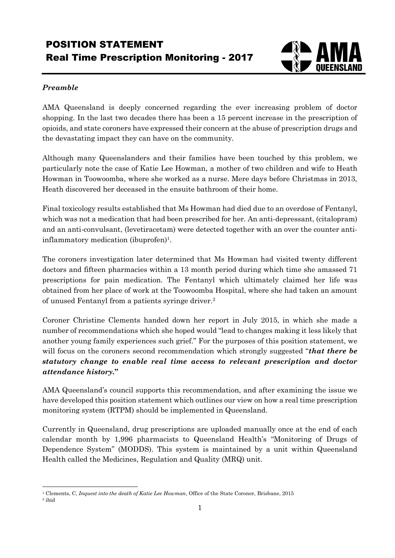## POSITION STATEMENT Real Time Prescription Monitoring - 2017



## *Preamble*

AMA Queensland is deeply concerned regarding the ever increasing problem of doctor shopping. In the last two decades there has been a 15 percent increase in the prescription of opioids, and state coroners have expressed their concern at the abuse of prescription drugs and the devastating impact they can have on the community.

Although many Queenslanders and their families have been touched by this problem, we particularly note the case of Katie Lee Howman, a mother of two children and wife to Heath Howman in Toowoomba, where she worked as a nurse. Mere days before Christmas in 2013, Heath discovered her deceased in the ensuite bathroom of their home.

Final toxicology results established that Ms Howman had died due to an overdose of Fentanyl, which was not a medication that had been prescribed for her. An anti-depressant, (citalopram) and an anti-convulsant, (levetiracetam) were detected together with an over the counter antiinflammatory medication (ibuprofen)<sup>1</sup>.

The coroners investigation later determined that Ms Howman had visited twenty different doctors and fifteen pharmacies within a 13 month period during which time she amassed 71 prescriptions for pain medication. The Fentanyl which ultimately claimed her life was obtained from her place of work at the Toowoomba Hospital, where she had taken an amount of unused Fentanyl from a patients syringe driver.<sup>2</sup>

Coroner Christine Clements handed down her report in July 2015, in which she made a number of recommendations which she hoped would "lead to changes making it less likely that another young family experiences such grief." For the purposes of this position statement, we will focus on the coroners second recommendation which strongly suggested "*that there be statutory change to enable real time access to relevant prescription and doctor attendance history.***"**

AMA Queensland's council supports this recommendation, and after examining the issue we have developed this position statement which outlines our view on how a real time prescription monitoring system (RTPM) should be implemented in Queensland.

Currently in Queensland, drug prescriptions are uploaded manually once at the end of each calendar month by 1,996 pharmacists to Queensland Health's "Monitoring of Drugs of Dependence System" (MODDS). This system is maintained by a unit within Queensland Health called the Medicines, Regulation and Quality (MRQ) unit.

<sup>1</sup> Clements, C, *Inquest into the death of Katie Lee Howman*, Office of the State Coroner, Brisbane, 2015

<sup>2</sup> ibid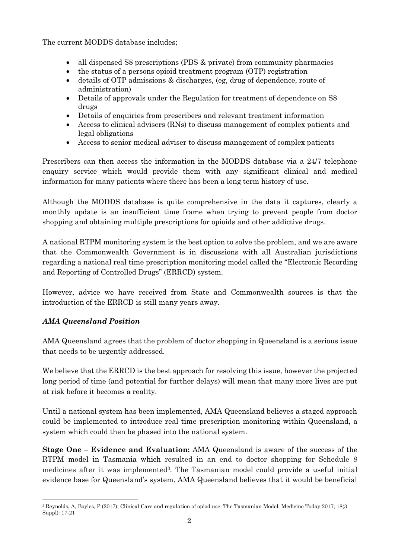The current MODDS database includes;

- all dispensed S8 prescriptions (PBS & private) from community pharmacies
- the status of a persons opioid treatment program (OTP) registration
- details of OTP admissions & discharges, (eg, drug of dependence, route of administration)
- Details of approvals under the Regulation for treatment of dependence on S8 drugs
- Details of enquiries from prescribers and relevant treatment information
- Access to clinical advisers (RNs) to discuss management of complex patients and legal obligations
- Access to senior medical adviser to discuss management of complex patients

Prescribers can then access the information in the MODDS database via a 24/7 telephone enquiry service which would provide them with any significant clinical and medical information for many patients where there has been a long term history of use.

Although the MODDS database is quite comprehensive in the data it captures, clearly a monthly update is an insufficient time frame when trying to prevent people from doctor shopping and obtaining multiple prescriptions for opioids and other addictive drugs.

A national RTPM monitoring system is the best option to solve the problem, and we are aware that the Commonwealth Government is in discussions with all Australian jurisdictions regarding a national real time prescription monitoring model called the "Electronic Recording and Reporting of Controlled Drugs" (ERRCD) system.

However, advice we have received from State and Commonwealth sources is that the introduction of the ERRCD is still many years away.

## *AMA Queensland Position*

AMA Queensland agrees that the problem of doctor shopping in Queensland is a serious issue that needs to be urgently addressed.

We believe that the ERRCD is the best approach for resolving this issue, however the projected long period of time (and potential for further delays) will mean that many more lives are put at risk before it becomes a reality.

Until a national system has been implemented, AMA Queensland believes a staged approach could be implemented to introduce real time prescription monitoring within Queensland, a system which could then be phased into the national system.

**Stage One – Evidence and Evaluation:** AMA Queensland is aware of the success of the RTPM model in Tasmania which resulted in an end to doctor shopping for Schedule 8 medicines after it was implemented<sup>3</sup>. The Tasmanian model could provide a useful initial evidence base for Queensland's system. AMA Queensland believes that it would be beneficial

 <sup>3</sup> Reynolds, A, Boyles, P (2017), Clinical Care and regulation of opiod use: The Tasmanian Model, Medicine Today 2017; 18(3 Suppl): 17-21